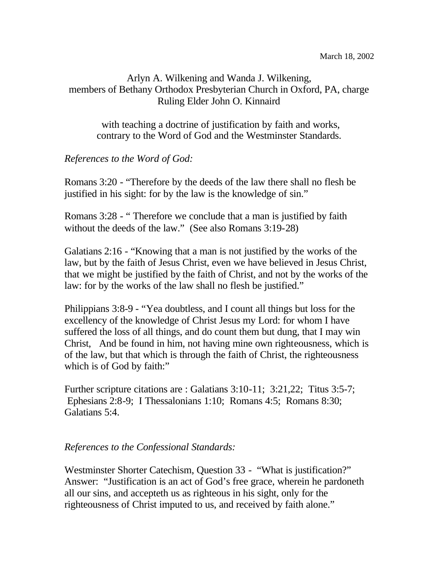## Arlyn A. Wilkening and Wanda J. Wilkening, members of Bethany Orthodox Presbyterian Church in Oxford, PA, charge Ruling Elder John O. Kinnaird

with teaching a doctrine of justification by faith and works, contrary to the Word of God and the Westminster Standards.

## *References to the Word of God:*

Romans 3:20 - "Therefore by the deeds of the law there shall no flesh be justified in his sight: for by the law is the knowledge of sin."

Romans 3:28 - " Therefore we conclude that a man is justified by faith without the deeds of the law." (See also Romans 3:19-28)

Galatians 2:16 - "Knowing that a man is not justified by the works of the law, but by the faith of Jesus Christ, even we have believed in Jesus Christ, that we might be justified by the faith of Christ, and not by the works of the law: for by the works of the law shall no flesh be justified."

Philippians 3:8-9 - "Yea doubtless, and I count all things but loss for the excellency of the knowledge of Christ Jesus my Lord: for whom I have suffered the loss of all things, and do count them but dung, that I may win Christ, And be found in him, not having mine own righteousness, which is of the law, but that which is through the faith of Christ, the righteousness which is of God by faith:"

Further scripture citations are : Galatians 3:10-11; 3:21,22; Titus 3:5-7; Ephesians 2:8-9; I Thessalonians 1:10; Romans 4:5; Romans 8:30; Galatians 5:4.

## *References to the Confessional Standards:*

Westminster Shorter Catechism, Question 33 - "What is justification?" Answer: "Justification is an act of God's free grace, wherein he pardoneth all our sins, and accepteth us as righteous in his sight, only for the righteousness of Christ imputed to us, and received by faith alone."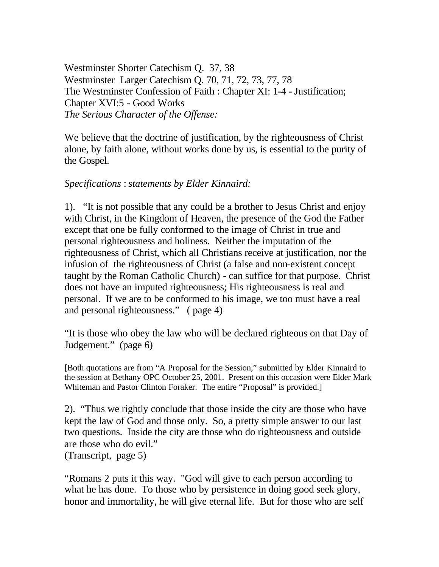Westminster Shorter Catechism Q. 37, 38 Westminster Larger Catechism Q. 70, 71, 72, 73, 77, 78 The Westminster Confession of Faith : Chapter XI: 1-4 - Justification; Chapter XVI:5 - Good Works *The Serious Character of the Offense:*

We believe that the doctrine of justification, by the righteousness of Christ alone, by faith alone, without works done by us, is essential to the purity of the Gospel.

## *Specifications* : *statements by Elder Kinnaird:*

1). "It is not possible that any could be a brother to Jesus Christ and enjoy with Christ, in the Kingdom of Heaven, the presence of the God the Father except that one be fully conformed to the image of Christ in true and personal righteousness and holiness. Neither the imputation of the righteousness of Christ, which all Christians receive at justification, nor the infusion of the righteousness of Christ (a false and non-existent concept taught by the Roman Catholic Church) - can suffice for that purpose. Christ does not have an imputed righteousness; His righteousness is real and personal. If we are to be conformed to his image, we too must have a real and personal righteousness." ( page 4)

"It is those who obey the law who will be declared righteous on that Day of Judgement." (page 6)

[Both quotations are from "A Proposal for the Session," submitted by Elder Kinnaird to the session at Bethany OPC October 25, 2001. Present on this occasion were Elder Mark Whiteman and Pastor Clinton Foraker. The entire "Proposal" is provided.

2). "Thus we rightly conclude that those inside the city are those who have kept the law of God and those only. So, a pretty simple answer to our last two questions. Inside the city are those who do righteousness and outside are those who do evil." (Transcript, page 5)

"Romans 2 puts it this way. "God will give to each person according to what he has done. To those who by persistence in doing good seek glory, honor and immortality, he will give eternal life. But for those who are self